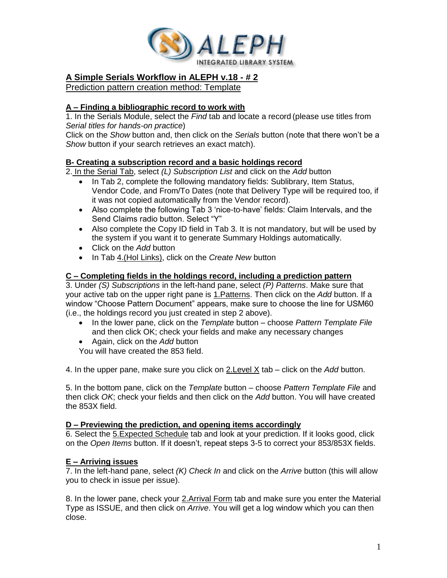

# **A Simple Serials Workflow in ALEPH v.18 - # 2**

Prediction pattern creation method: Template

## **A – Finding a bibliographic record to work with**

1. In the Serials Module, select the *Find* tab and locate a record (please use titles from *Serial titles for hands-on practice*)

Click on the *Show* button and, then click on the *Serials* button (note that there won't be a *Show* button if your search retrieves an exact match).

### **B- Creating a subscription record and a basic holdings record**

2. In the Serial Tab, select *(L) Subscription List* and click on the *Add* button

- In Tab 2, complete the following mandatory fields: Sublibrary, Item Status, Vendor Code, and From/To Dates (note that Delivery Type will be required too, if it was not copied automatically from the Vendor record).
- Also complete the following Tab 3 'nice-to-have' fields: Claim Intervals, and the Send Claims radio button. Select "Y"
- Also complete the Copy ID field in Tab 3. It is not mandatory, but will be used by the system if you want it to generate Summary Holdings automatically.
- Click on the *Add* button
- In Tab 4.(Hol Links), click on the *Create New* button

### **C – Completing fields in the holdings record, including a prediction pattern**

3. Under *(S) Subscriptions* in the left-hand pane, select *(P) Patterns*. Make sure that your active tab on the upper right pane is 1.Patterns. Then click on the *Add* button. If a window "Choose Pattern Document" appears, make sure to choose the line for USM60 (i.e., the holdings record you just created in step 2 above).

- In the lower pane, click on the *Template* button choose *Pattern Template File* and then click OK; check your fields and make any necessary changes
- Again, click on the *Add* button

You will have created the 853 field.

4. In the upper pane, make sure you click on 2.Level X tab – click on the *Add* button.

5. In the bottom pane, click on the *Template* button – choose *Pattern Template File* and then click *OK*; check your fields and then click on the *Add* button. You will have created the 853X field.

#### **D – Previewing the prediction, and opening items accordingly**

6. Select the 5.Expected Schedule tab and look at your prediction. If it looks good, click on the *Open Items* button. If it doesn't, repeat steps 3-5 to correct your 853/853X fields.

#### **E – Arriving issues**

7. In the left-hand pane, select *(K) Check In* and click on the *Arrive* button (this will allow you to check in issue per issue).

8. In the lower pane, check your 2.Arrival Form tab and make sure you enter the Material Type as ISSUE, and then click on *Arrive*. You will get a log window which you can then close.